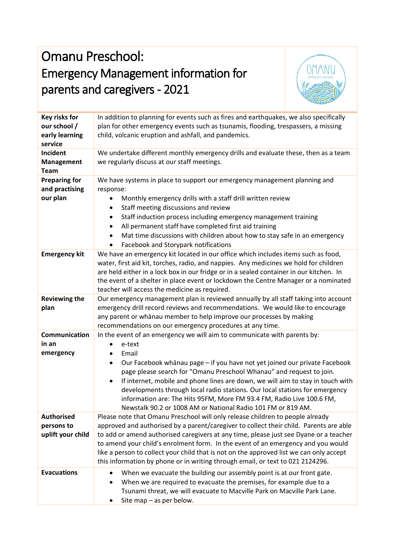## Omanu Preschool: Emergency Management information for parents and caregivers - 2021



|                                                            | $\nu$ <i>hr</i> $\pi$                                                                                                                                                                                                                                                                                                                                                                                                                                                                                                                                                               |
|------------------------------------------------------------|-------------------------------------------------------------------------------------------------------------------------------------------------------------------------------------------------------------------------------------------------------------------------------------------------------------------------------------------------------------------------------------------------------------------------------------------------------------------------------------------------------------------------------------------------------------------------------------|
| Key risks for<br>our school /<br>early learning<br>service | In addition to planning for events such as fires and earthquakes, we also specifically<br>plan for other emergency events such as tsunamis, flooding, trespassers, a missing<br>child, volcanic eruption and ashfall, and pandemics.                                                                                                                                                                                                                                                                                                                                                |
| Incident<br><b>Management</b><br><b>Team</b>               | We undertake different monthly emergency drills and evaluate these, then as a team<br>we regularly discuss at our staff meetings.                                                                                                                                                                                                                                                                                                                                                                                                                                                   |
| <b>Preparing for</b><br>and practising<br>our plan         | We have systems in place to support our emergency management planning and<br>response:<br>Monthly emergency drills with a staff drill written review<br>$\bullet$<br>Staff meeting discussions and review<br>٠<br>Staff induction process including emergency management training<br>All permanent staff have completed first aid training<br>$\bullet$<br>Mat time discussions with children about how to stay safe in an emergency<br>$\bullet$<br>Facebook and Storypark notifications<br>٠                                                                                      |
| <b>Emergency kit</b>                                       | We have an emergency kit located in our office which includes items such as food,<br>water, first aid kit, torches, radio, and nappies. Any medicines we hold for children<br>are held either in a lock box in our fridge or in a sealed container in our kitchen. In<br>the event of a shelter in place event or lockdown the Centre Manager or a nominated<br>teacher will access the medicine as required.                                                                                                                                                                       |
| <b>Reviewing the</b><br>plan                               | Our emergency management plan is reviewed annually by all staff taking into account<br>emergency drill record reviews and recommendations. We would like to encourage<br>any parent or whanau member to help improve our processes by making<br>recommendations on our emergency procedures at any time.                                                                                                                                                                                                                                                                            |
| Communication<br>in an<br>emergency                        | In the event of an emergency we will aim to communicate with parents by:<br>e-text<br>Email<br>٠<br>Our Facebook whānau page - if you have not yet joined our private Facebook<br>٠<br>page please search for "Omanu Preschool Whanau" and request to join.<br>If internet, mobile and phone lines are down, we will aim to stay in touch with<br>$\bullet$<br>developments through local radio stations. Our local stations for emergency<br>information are: The Hits 95FM, More FM 93.4 FM, Radio Live 100.6 FM,<br>Newstalk 90.2 or 1008 AM or National Radio 101 FM or 819 AM. |
| <b>Authorised</b><br>persons to<br>uplift your child       | Please note that Omanu Preschool will only release children to people already<br>approved and authorised by a parent/caregiver to collect their child. Parents are able<br>to add or amend authorised caregivers at any time, please just see Dyane or a teacher<br>to amend your child's enrolment form. In the event of an emergency and you would<br>like a person to collect your child that is not on the approved list we can only accept<br>this information by phone or in writing through email, or text to 021 2124296.                                                   |
| <b>Evacuations</b>                                         | When we evacuate the building our assembly point is at our front gate.<br>$\bullet$<br>When we are required to evacuate the premises, for example due to a<br>Tsunami threat, we will evacuate to Macville Park on Macville Park Lane.<br>Site map - as per below.<br>٠                                                                                                                                                                                                                                                                                                             |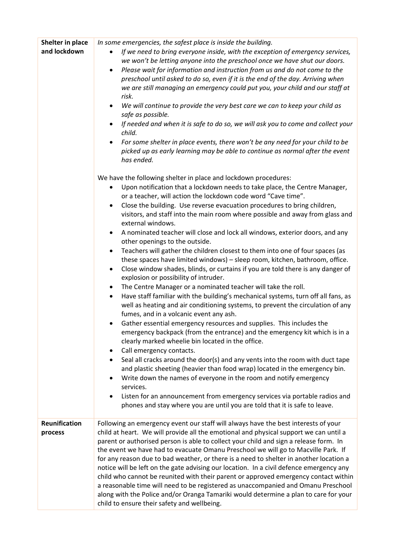| Shelter in place<br>and lockdown | In some emergencies, the safest place is inside the building.<br>If we need to bring everyone inside, with the exception of emergency services,<br>we won't be letting anyone into the preschool once we have shut our doors.<br>Please wait for information and instruction from us and do not come to the<br>٠<br>preschool until asked to do so, even if it is the end of the day. Arriving when<br>we are still managing an emergency could put you, your child and our staff at<br>risk.<br>We will continue to provide the very best care we can to keep your child as<br>$\bullet$<br>safe as possible.<br>If needed and when it is safe to do so, we will ask you to come and collect your<br>child.<br>For some shelter in place events, there won't be any need for your child to be<br>picked up as early learning may be able to continue as normal after the event<br>has ended.                                                                                                                                                                                                                                                                                                                                                                                                                                                                                                                                                                                                                                                                                                                                                                                                                                                                                                                      |
|----------------------------------|--------------------------------------------------------------------------------------------------------------------------------------------------------------------------------------------------------------------------------------------------------------------------------------------------------------------------------------------------------------------------------------------------------------------------------------------------------------------------------------------------------------------------------------------------------------------------------------------------------------------------------------------------------------------------------------------------------------------------------------------------------------------------------------------------------------------------------------------------------------------------------------------------------------------------------------------------------------------------------------------------------------------------------------------------------------------------------------------------------------------------------------------------------------------------------------------------------------------------------------------------------------------------------------------------------------------------------------------------------------------------------------------------------------------------------------------------------------------------------------------------------------------------------------------------------------------------------------------------------------------------------------------------------------------------------------------------------------------------------------------------------------------------------------------------------------------|
|                                  | We have the following shelter in place and lockdown procedures:<br>Upon notification that a lockdown needs to take place, the Centre Manager,<br>٠<br>or a teacher, will action the lockdown code word "Cave time".<br>Close the building. Use reverse evacuation procedures to bring children,<br>$\bullet$<br>visitors, and staff into the main room where possible and away from glass and<br>external windows.<br>A nominated teacher will close and lock all windows, exterior doors, and any<br>other openings to the outside.<br>Teachers will gather the children closest to them into one of four spaces (as<br>these spaces have limited windows) - sleep room, kitchen, bathroom, office.<br>Close window shades, blinds, or curtains if you are told there is any danger of<br>$\bullet$<br>explosion or possibility of intruder.<br>The Centre Manager or a nominated teacher will take the roll.<br>٠<br>Have staff familiar with the building's mechanical systems, turn off all fans, as<br>well as heating and air conditioning systems, to prevent the circulation of any<br>fumes, and in a volcanic event any ash.<br>Gather essential emergency resources and supplies. This includes the<br>emergency backpack (from the entrance) and the emergency kit which is in a<br>clearly marked wheelie bin located in the office.<br>Call emergency contacts.<br>٠<br>Seal all cracks around the door(s) and any vents into the room with duct tape<br>٠<br>and plastic sheeting (heavier than food wrap) located in the emergency bin.<br>Write down the names of everyone in the room and notify emergency<br>services.<br>Listen for an announcement from emergency services via portable radios and<br>$\bullet$<br>phones and stay where you are until you are told that it is safe to leave. |
| Reunification<br>process         | Following an emergency event our staff will always have the best interests of your<br>child at heart. We will provide all the emotional and physical support we can until a<br>parent or authorised person is able to collect your child and sign a release form. In<br>the event we have had to evacuate Omanu Preschool we will go to Macville Park. If<br>for any reason due to bad weather, or there is a need to shelter in another location a<br>notice will be left on the gate advising our location. In a civil defence emergency any<br>child who cannot be reunited with their parent or approved emergency contact within<br>a reasonable time will need to be registered as unaccompanied and Omanu Preschool<br>along with the Police and/or Oranga Tamariki would determine a plan to care for your<br>child to ensure their safety and wellbeing.                                                                                                                                                                                                                                                                                                                                                                                                                                                                                                                                                                                                                                                                                                                                                                                                                                                                                                                                                  |